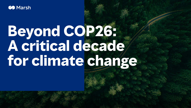

# **Beyond COP26: A critical decade for climate change**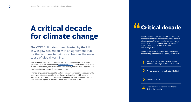## **A critical decade for climate change**

The COP26 climate summit hosted by the UK in Glasgow has ended with an agreement that for the first time targets fossil fuels as the main cause of global warming.

After extended negotiation, countries decided to "phase down" rather than "phase out" coal. As covered in our [COP26 blog series,](https://www.marsh.com/uk/services/climate-change-and-sustainability/insights/cop26-blog-series.html) commitments were made to stop deforestation, reduce methane emissions by the end of the decade, and accelerate the move towards renewable energy.

Financial organizations agreed to continue supporting net-zero initiatives, while countries pledged to republish their climate action plans — with more farreaching emissions reduction goals for 2030 — by the end of the year. The US and China also agreed to increase cooperation on climate issues.

### **Critical decade "**

There is no doubt the next decade is "the critical decade," with COP26 seen as the turning point in climate action. The summit allowed countries to establish a common ground, and collectively find ways to overcome barriers to achieve climate objectives.

Countries will need to deliver on commitments to ultimately meet the COP26 goals, which were:

**1** Secure global net zero by mid-century<br>and keep the target of 1.5°C within reach.

**2** Protect communities and natural habitat.

**3** Mobilize finance.



**4** Establish ways of working together to deliver these goals.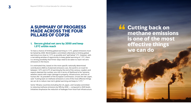### **A SUMMARY OF PROGRESS MADE ACROSS THE FOUR PILLARS OF COP26**

#### **1. Secure global net zero by 2050 and keep 1.5°C within reach**

To have a chance of limiting global warming to 1.5°C, global emissions must be halved by 2030. World leaders committed collectively to limiting global warming to as close to 1.5°C as possible and "well below" 2°C. However, with a narrowing window of opportunity to keep global warming at 1.5°C, there is a strong possibility that firmer steps need to be taken to reach net-zero emissions in the future.

It is estimated that, based on the more specific nationally determined contributions (NDCs) of planned emissions cuts, the world is on track for between 1.8°C and 2.4°C of warming by the end of the century. Leaders and experts deemed the number one risk in terms of likelihood to be "extreme weather events with major damage to property, infrastructure, and loss of human life." As president of the European Commission, Ursula Von der Leyen, said: "Cutting back on methane emissions is one of the most effective things we can do to reduce near-term global warming and keep to 1.5°C."

Some 100-plus countries (including the US, Japan, and Canada) committed to reducing methane emissions by 30% by 2030 — compared to 2020 levels. Initiatives emphasize the reduction of leakages from fossil fuel infrastructure. **14 Cutting back on<br>
methane emission<br>
is one of the more methane emissions is one of the most effective things we can do**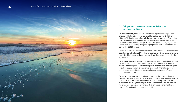

#### **2. Adapt and protect communities and natural habitats**

On **deforestation**, more than 100 countries, together making up 85% of the world's forests, have established funds in excess of £15 billion (US\$20.45 billion) as part of the pledge to stop and reverse deforestation. Brazil — where there has been destruction of swathes of the Amazon rainforest — was among the signatories. This agreement highlights the importance of supporting indigenous people and local communities, as part of the COP26 accord.

However, there have been criticisms of how deforestation is defined in the pact, backed with almost £14 billion of public and private funds, and some countries, like Indonesia, have expressed that they may not abide by the agreement.

On **oceans**, there was a call for nature-based solutions and global support for the protection of at least 30% of the global ocean by 2030. Another theme was the important role of mangroves, salt marshes, and sea grass in carbon sequestration. Groups are exploring whether blue carbon credits could be used to fund conservation and restoration of these important carbon sinks.

On **nature and land** use, attention was given to the loss and damage caused by climate change and the adaptation that will be needed to tackle it. There was a consensus on the need to start building resilience into our infrastructure by, for example, using defenses and warning systems; restoring ecosystems and enhancing their protection; and instilling a culture of sustainability among communities.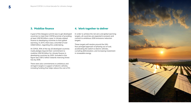#### **3. Mobilize finance**

A goal of the Glasgow summit was to get developed countries to meet their COP20 promise of providing at least US\$100 billion a year in climate-related finance to developing countries to limit global warming. In 2019, there was a shortfall of over US\$20 billion, regarding this undertaking.

At COP26, 95% of the top 20 developed countries made pledges beyond their commitment to mobilize US\$100 billion for climate finance in developing countries by 2020. Included in this figure was US\$12 billion towards reversing forest loss by 2030.

There were also commitments to ambitious and stringent targets in support of electric vehicles, including funding that helps reduce the cost of EV.

#### **4. Work together to deliver**

In order to achieve the net-zero and global warming targets, all countries are expected to present and commit to ambitious 2030 emissions reduction targets.

These targets will revolve around the UN's four-pronged approach of phasing out of coal, accelerating the switch to electric vehicles, curtailing deforestation, and increasing investment in renewable energy.

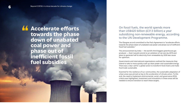**Accelerate efforts<br>
<b>Example 15 to towards the phase**<br> **Cown of unahated towards the phase down of unabated coal power and phase out of inefficient fossil fuel subsidies**

On fossil fuels, the world spends more than US\$420 billion (£313 billion) a year subsidizing non-renewable energy, according to the UN Development Programme.

The Glasgow accord committed to the Paris Agreement to "accelerate efforts towards the phase down of unabated coal power and phase out of inefficient fossil fuel subsidies."

The announcement by India — the world's third biggest greenhouse gas producer — that it would commit to an ambition of net zero by 2070 and plans to generate half its electricity from renewables by 2030 was cause for optimism.

Governments and international organizations outlined the measures they intend to take to more quickly scale up clean power and sustainable energy. There was a clear call for a global action to transform food chains and make food trade sustainable.

Essential for the resilience of our communities, the sustainable adaptation of urban areas was pinned as key to the acceleration of climate action. To this end, the need to implement environmental, social, and governance (ESG) criteria was highlighted. Investment and innovations in these areas will be needed to ensure transition to reach these targets.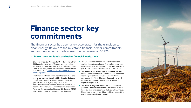### **Finance sector key commitments**

The financial sector has been a key accelerator for the transition to clean energy. Below are the milestone financial sector commitments and announcements made across the two weeks at COP26.

#### **1. Banks, pension funds, and other financial institutions**

- **• Glasgow Financial Alliance for Net Zero:** More than 450 financial firms, from 45 countries, responsible for more than US\$130 trillion in financial assets, have committed to aligning their operations and financing to achieve 1.5°C, [supported by Oliver Wyman, as its](https://www.oliverwyman.com/our-expertise/insights/2021/nov/glasgow-financial-alliance-for-net-zero-report.html)  [knowledge partner.](https://www.oliverwyman.com/our-expertise/insights/2021/nov/glasgow-financial-alliance-for-net-zero-report.html)
- **•** The **IFRS Foundation** announced the formation of a new **International Sustainability Standards Board (ISSB)**, which seeks to develop a comprehensive global baseline of high-quality sustainability disclosure standards to meet investors' information needs — building further upon the work of the Task Force for Climate-related Financial Disclosures (TCFD), which will continue to be taken forward in 2022.
- **•** The UK announced the intention to become the world's first net-zero aligned financial center, with a new requirement for mandatory **net-zero transition plans** for UK financial institutions and companies.
- **•** The **Network for Greening the Financial System (NGFS)** announced that 100 central banks and credit rating agencies have now joined their network and signed the **NGFS Glasgow Declaration**, which included a continued commitment to advance supervisory practices.
- **•** The **Bank of England** announced that it will shift gears to actively supervise firms on climate-related financial risks and recognizes that capital may have a bigger role to play in providing resilience against the consequences of climate change.

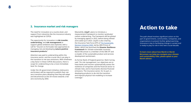#### **2. Insurance market and risk managers**

The need for innovation at a country level, and support from industries like the insurance industry was highlighted at COP26.

The opportunity for innovation in **risk transfer**, **underwriting**, and **risk management** to support global ambitions was explored, with a call for "insurers to formulate new approaches to managing risk and developing **nature-positive insurance products**."

Attention was paid to underwriting within the insurance sector, and the crucial role it can play in the transition to net-zero emissions. With timeliness a key factor in these COP26 discussions, there is scope for underwriting to be a more immediate lever for change.

Under the UK government initiative, (re)insurers and brokers will be required to publish their netzero transition plans detailing how they will adapt and decarbonize as the UK moves towards a netzero economy by 2050.

Meanwhile, **Lloyd'**s plans to introduce a measurement framework to monitor syndicates' carbon underwriting. The framework will be piloted by managing agents in 2022, before being refined and scaled up in 2023. Lloyd's is also chairing the Insurance Task Force (ITF) of [The Sustainable](https://www.linkedin.com/company/thesmi/)  [Markets Initiative](https://www.linkedin.com/company/thesmi/) (SMI), led by HRH Prince of Wales, which has launched the **Disaster Resilience Framework** for climate-vulnerable countries. Marsh McLennan is a member of the SMI ITF and co-leader of the sustainable product and services development workstream.

As former Bank of England governor, Mark Carney, said: "On risk management, our objectives are to have banks and insurers systematically assess the resilience of companies and the financial sector to climate risks; and to have banks disclose financed emissions. The insurance sector, for its part, is developing products to de-risk the transition and improve physical risk modeling to increase coverage."

### **Action to take**

The path ahead involves significant action on the part of governments, communities, companies, and organizations to prevent further global warming. Insurance is key to facilitating change in society and is ready to play its role in this next crucial decade.

**To learn more about how Marsh or Marsh McLennan can help you navigate your climate and sustainability risks, please speak to your Marsh advisor.**